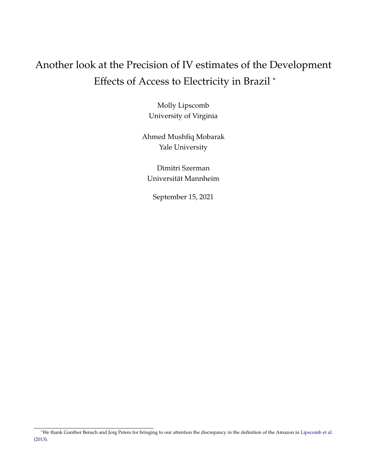# Another look at the Precision of IV estimates of the Development Effects of Access to Electricity in Brazil \*

Molly Lipscomb University of Virginia

Ahmed Mushfiq Mobarak Yale University

Dimitri Szerman Universität Mannheim

September 15, 2021

<sup>\*</sup>We thank Gunther Bensch and Jorg Peters for bringing to our attention the discrepancy in the definition of the Amazon in [Lipscomb et al.](#page-5-0) [\(2013\)](#page-5-0).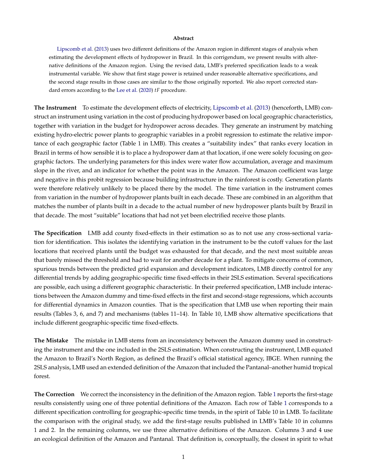#### **Abstract**

[Lipscomb et al.](#page-5-0) [\(2013\)](#page-5-0) uses two different definitions of the Amazon region in different stages of analysis when estimating the development effects of hydropower in Brazil. In this corrigendum, we present results with alternative definitions of the Amazon region. Using the revised data, LMB's preferred specification leads to a weak instrumental variable. We show that first stage power is retained under reasonable alternative specifications, and the second stage results in those cases are similar to the those originally reported. We also report corrected standard errors according to the [Lee et al.](#page-5-1) [\(2020\)](#page-5-1) *tF* procedure.

**The Instrument** To estimate the development effects of electricity, [Lipscomb et al.](#page-5-0) [\(2013\)](#page-5-0) (henceforth, LMB) construct an instrument using variation in the cost of producing hydropower based on local geographic characteristics, together with variation in the budget for hydropower across decades. They generate an instrument by matching existing hydro-electric power plants to geographic variables in a probit regression to estimate the relative importance of each geographic factor (Table 1 in LMB). This creates a "suitability index" that ranks every location in Brazil in terms of how sensible it is to place a hydropower dam at that location, if one were solely focusing on geographic factors. The underlying parameters for this index were water flow accumulation, average and maximum slope in the river, and an indicator for whether the point was in the Amazon. The Amazon coefficient was large and negative in this probit regression because building infrastructure in the rainforest is costly. Generation plants were therefore relatively unlikely to be placed there by the model. The time variation in the instrument comes from variation in the number of hydropower plants built in each decade. These are combined in an algorithm that matches the number of plants built in a decade to the actual number of new hydropower plants built by Brazil in that decade. The most "suitable" locations that had not yet been electrified receive those plants.

**The Specification** LMB add county fixed-effects in their estimation so as to not use any cross-sectional variation for identification. This isolates the identifying variation in the instrument to be the cutoff values for the last locations that received plants until the budget was exhausted for that decade, and the next most suitable areas that barely missed the threshold and had to wait for another decade for a plant. To mitigate concerns of common, spurious trends between the predicted grid expansion and development indicators, LMB directly control for any differential trends by adding geographic-specific time fixed-effects in their 2SLS estimation. Several specifications are possible, each using a different geographic characteristic. In their preferred specification, LMB include interactions between the Amazon dummy and time-fixed effects in the first and second-stage regressions, which accounts for differential dynamics in Amazon counties. That is the specification that LMB use when reporting their main results (Tables 3, 6, and 7) and mechanisms (tables 11–14). In Table 10, LMB show alternative specifications that include different geographic-specific time fixed-effects.

**The Mistake** The mistake in LMB stems from an inconsistency between the Amazon dummy used in constructing the instrument and the one included in the 2SLS estimation. When constructing the instrument, LMB equated the Amazon to Brazil's North Region, as defined the Brazil's official statistical agency, IBGE. When running the 2SLS analysis, LMB used an extended definition of the Amazon that included the Pantanal–another humid tropical forest.

**The Correction** We correct the inconsistency in the definition of the Amazon region. Table [1](#page-2-0) reports the first-stage results consistently using one of three potential definitions of the Amazon. Each row of Table [1](#page-2-0) corresponds to a different specification controlling for geographic-specific time trends, in the spirit of Table 10 in LMB. To facilitate the comparison with the original study, we add the first-stage results published in LMB's Table 10 in columns 1 and 2. In the remaining columns, we use three alternative definitions of the Amazon. Columns 3 and 4 use an ecological definition of the Amazon and Pantanal. That definition is, conceptually, the closest in spirit to what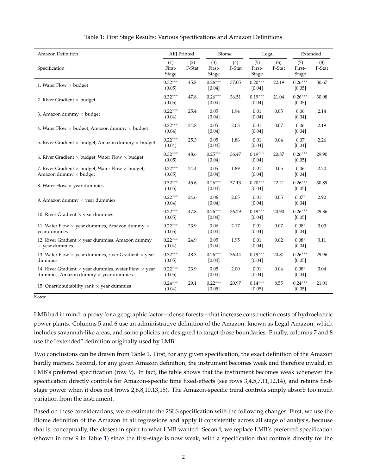<span id="page-2-0"></span>

| Amazon Definition                                                                                                 | <b>AEJ</b> Printed     |               | Biome                  |               | Legal                  |               | Extended               |               |
|-------------------------------------------------------------------------------------------------------------------|------------------------|---------------|------------------------|---------------|------------------------|---------------|------------------------|---------------|
| Specification                                                                                                     | (1)<br>First-<br>Stage | (2)<br>F-Stat | (3)<br>First-<br>Stage | (4)<br>F-Stat | (5)<br>First-<br>Stage | (6)<br>F-Stat | (7)<br>First-<br>Stage | (8)<br>F-Stat |
| 1. Water Flow $\times$ budget                                                                                     | $0.32***$<br>(0.05)    | 45.8          | $0.26***$<br>[0.04]    | 37.05         | $0.20***$<br>[0.04]    | 22.19         | $0.26***$<br>[0.05]    | 30.67         |
| 2. River Gradient $\times$ budget                                                                                 | $0.32***$<br>(0.05)    | 47.8          | $0.26***$<br>[0.04]    | 36.51         | $0.19***$<br>$[0.04]$  | 21.04         | $0.26***$<br>$[0.05]$  | 30.08         |
| 3. Amazon dummy $\times$ budget                                                                                   | $0.22***$<br>(0.04)    | 25.4          | 0.05<br>[0.04]         | 1.94          | 0.01<br>[0.04]         | 0.05          | 0.06<br>[0.04]         | 2.14          |
| 4. Water Flow $\times$ budget, Amazon dummy $\times$ budget                                                       | $0.22***$<br>(0.04)    | 24.8          | 0.05<br>[0.04]         | 2.03          | 0.01<br>[0.04]         | 0.07          | 0.06<br>$[0.04]$       | 2.19          |
| 5. River Gradient $\times$ budget, Amazon dummy $\times$ budget                                                   | $0.22***$<br>(0.04)    | 25.3          | 0.05<br>[0.04]         | 1.86          | 0.01<br>[0.04]         | $0.04\,$      | 0.07<br>$[0.04]$       | 2.26          |
| 6. River Gradient $\times$ budget, Water Flow $\times$ budget                                                     | $0.32***$<br>(0.05)    | 48.6          | $0.25***$<br>[0.04]    | 36.47         | $0.19***$<br>$[0.04]$  | 20.87         | $0.26***$<br>[0.05]    | 29.90         |
| 7. River Gradient $\times$ budget, Water Flow $\times$ budget,<br>Amazon dummy $\times$ budget                    | $0.22***$<br>(0.05)    | 24.4          | 0.05<br>$[0.04]$       | 1.89          | 0.01<br>[0.04]         | 0.05          | 0.06<br>$[0.04]$       | 2.20          |
| 8. Water Flow $\times$ year dummies                                                                               | $0.32***$<br>(0.05)    | 45.6          | $0.26***$<br>[0.04]    | 37.13         | $0.20***$<br>$[0.04]$  | 22.21         | $0.26***$<br>[0.05]    | 30.89         |
| 9. Amazon dummy $\times$ year dummies                                                                             | $0.22***$<br>(0.04)    | 24.6          | 0.06<br>$[0.04]$       | 2.05          | 0.01<br>$[0.04]$       | 0.05          | $0.07*$<br>$[0.04]$    | 2.92          |
| 10. River Gradient $\times$ year dummies                                                                          | $0.22***$<br>(0.05)    | 47.8          | $0.26***$<br>[0.04]    | 36.29         | $0.19***$<br>[0.04]    | 20.90         | $0.26***$<br>[0.05]    | 29.86         |
| 11. Water Flow $\times$ year dummies, Amazon dummy $\times$<br>year dummies                                       | $0.22***$<br>(0.05)    | 23.9          | 0.06<br>[0.04]         | 2.17          | 0.01<br>[0.04]         | 0.07          | $0.08*$<br>$[0.04]$    | 3.03          |
| 12. River Gradient $\times$ year dummies, Amazon dummy<br>$\times$ year dummies                                   | $0.22***$<br>(0.04)    | 24.9          | 0.05<br>$[0.04]$       | 1.95          | 0.01<br>$[0.04]$       | 0.02          | $0.08*$<br>$[0.04]$    | 3.11          |
| 13. Water Flow $\times$ year dummies, river Gradient $\times$ year<br>dummies                                     | $0.32***$<br>(0.05)    | 48.3          | $0.26***$<br>$[0.04]$  | 36.44         | $0.19***$<br>$[0.04]$  | 20.81         | $0.26***$<br>[0.05]    | 29.96         |
| 14. River Gradient $\times$ year dummies, water Flow $\times$ year<br>dummies, Amazon dummy $\times$ year dummies | $0.22***$<br>(0.05)    | 23.9          | 0.05<br>[0.04]         | 2.00          | 0.01<br>$[0.04]$       | 0.04          | $0.08*$<br>[0.04]      | 3.04          |
| 15. Quartic suitability rank $\times$ year dummies                                                                | $0.24***$<br>(0.04)    | 29.1          | $0.22***$<br>[0.05]    | 20.97         | $0.14***$<br>[0.05]    | 8.55          | $0.24***$<br>[0.05]    | 21.01         |

#### Table 1: First Stage Results: Various Specifications and Amazon Definitions

Notes:

LMB had in mind: a proxy for a geographic factor—dense forests—that increase construction costs of hydroelectric power plants. Columns 5 and 6 use an administrative definition of the Amazon, known as Legal Amazon, which includes savannah-like areas, and some policies are designed to target those boundaries. Finally, columns 7 and 8 use the "extended" definition originally used by LMB.

Two conclusions can be drawn from Table [1.](#page-2-0) First, for any given specification, the exact definition of the Amazon hardly matters. Second, for any given Amazon definition, the instrument becomes weak and therefore invalid, in LMB's preferred specification (row 9). In fact, the table shows that the instrument becomes weak whenever the specification directly controls for Amazon-specific time fixed-effects (see rows 3,4,5,7,11,12,14), and retains firststage power when it does not (rows 2,6,8,10,13,15). The Amazon-specific trend controls simply absorb too much variation from the instrument.

Based on these considerations, we re-estimate the 2SLS specification with the following changes. First, we use the Biome definition of the Amazon in all regressions and apply it consistently across all stage of analysis, because that is, conceptually, the closest in spirit to what LMB wanted. Second, we replace LMB's preferred specification (shown in row 9 in Table [1\)](#page-2-0) since the first-stage is now weak, with a specification that controls directly for the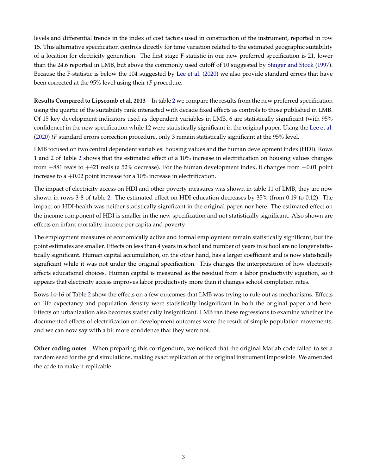levels and differential trends in the index of cost factors used in construction of the instrument, reported in row 15. This alternative specification controls directly for time variation related to the estimated geographic suitability of a location for electricity generation. The first stage F-statistic in our new preferred specification is 21, lower than the 24.6 reported in LMB, but above the commonly used cutoff of 10 suggested by [Staiger and Stock](#page-5-2) [\(1997\)](#page-5-2). Because the F-statistic is below the 104 suggested by [Lee et al.](#page-5-1) [\(2020\)](#page-5-1) we also provide standard errors that have been corrected at the 95% level using their *tF* procedure.

**Results Compared to Lipscomb et al, 2013** In table [2](#page-4-0) we compare the results from the new preferred specification using the quartic of the suitability rank interacted with decade fixed effects as controls to those published in LMB. Of 15 key development indicators used as dependent variables in LMB, 6 are statistically significant (with 95% confidence) in the new specification while 12 were statistically significant in the original paper. Using the [Lee et al.](#page-5-1) [\(2020\)](#page-5-1) *tF* standard errors correction procedure, only 3 remain statistically significant at the 95% level.

LMB focused on two central dependent variables: housing values and the human development index (HDI). Rows 1 and 2 of Table [2](#page-4-0) shows that the estimated effect of a 10% increase in electrification on housing values changes from  $+881$  reais to  $+421$  reais (a 52% decrease). For the human development index, it changes from  $+0.01$  point increase to a  $+0.02$  point increase for a 10% increase in electrification.

The impact of electricity access on HDI and other poverty measures was shown in table 11 of LMB, they are now shown in rows 3-8 of table [2.](#page-4-0) The estimated effect on HDI education decreases by 35% (from 0.19 to 0.12). The impact on HDI-health was neither statistically significant in the original paper, nor here. The estimated effect on the income component of HDI is smaller in the new specification and not statistically significant. Also shown are effects on infant mortality, income per capita and poverty.

The employment measures of economically active and formal employment remain statistically significant, but the point estimates are smaller. Effects on less than 4 years in school and number of years in school are no longer statistically significant. Human capital accumulation, on the other hand, has a larger coefficient and is now statistically significant while it was not under the original specification. This changes the interpretation of how electricity affects educational choices. Human capital is measured as the residual from a labor productivity equation, so it appears that electricity access improves labor productivity more than it changes school completion rates.

Rows 14-16 of Table [2](#page-4-0) show the effects on a few outcomes that LMB was trying to rule out as mechanisms. Effects on life expectancy and population density were statistically insignificant in both the original paper and here. Effects on urbanization also becomes statistically insignificant. LMB ran these regressions to examine whether the documented effects of electrification on development outcomes were the result of simple population movements, and we can now say with a bit more confidence that they were not.

**Other coding notes** When preparing this corrigendum, we noticed that the original Matlab code failed to set a random seed for the grid simulations, making exact replication of the original instrument impossible. We amended the code to make it replicable.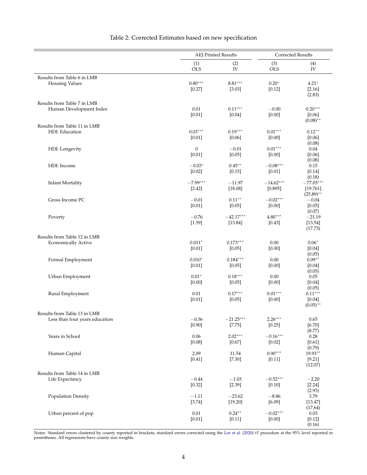<span id="page-4-0"></span>

|                                                                |                          | <b>AEJ Printed Results</b> | Corrected Results      |                                         |  |
|----------------------------------------------------------------|--------------------------|----------------------------|------------------------|-----------------------------------------|--|
|                                                                | (1)<br><b>OLS</b>        | (2)<br>IV                  | (3)<br><b>OLS</b>      | (4)<br>IV                               |  |
| Results from Table 6 in LMB<br><b>Housing Values</b>           | $0.80***$<br>[0.27]      | $8.81***$<br>[3.03]        | $0.20*$<br>[0.12]      | $4.21*$<br>[2.16]<br>(2.83)             |  |
| Results from Table 7 in LMB<br>Human Development Index         | $0.01\,$<br>[0.01]       | $0.11***$<br>$[0.04]$      | $-0.00$<br>$[0.00]$    | $0.20***$<br>[0.06]<br>$(0.08)$ **      |  |
| Results from Table 11 in LMB<br>HDI: Education                 | $0.03***$<br>[0.01]      | $0.19***$<br>[0.06]        | $0.01***$<br>[0.00]    | $0.12**$<br>[0.06]                      |  |
| HDI: Longevity                                                 | $\mathbf{0}$<br>$[0.01]$ | $-0.01$<br>[0.05]          | $0.01***$<br>$[0.00]$  | (0.08)<br>0.04<br>[0.06]<br>(0.08)      |  |
| HDI: Income                                                    | $-0.03*$<br>[0.02]       | $0.45***$<br>[0.15]        | $-0.08***$<br>$[0.01]$ | 0.15<br>[0.14]<br>(0.18)                |  |
| <b>Infant Mortality</b>                                        | $-7.99***$<br>[2.42]     | $-11.97$<br>[18.08]        | $-14.62***$<br>[0.895] | $-77.03***$<br>[19.761]<br>$(25.89)$ ** |  |
| Gross Income PC                                                | $-0.01$<br>[0.01]        | $0.11***$<br>[0.05]        | $-0.02***$<br>[0.00]   | $-0.04$<br>[0.05]<br>(0.07)             |  |
| Poverty                                                        | $-0.76$<br>[1.39]        | $-42.17***$<br>[13.84]     | $4.80***$<br>$[0.43]$  | $-21.19$<br>[13.54]<br>(17.73)          |  |
| Results from Table 12 in LMB<br><b>Economically Active</b>     | $0.011*$<br>[0.01]       | $0.173***$<br>[0.05]       | 0.00<br>[0.00]         | $0.06*$<br>[0.04]                       |  |
| Formal Employment                                              | $0.010*$<br>$[0.01]$     | $0.184***$<br>[0.05]       | 0.00<br>[0.00]         | (0.05)<br>$0.09**$<br>[0.04]<br>(0.05)  |  |
| Urban Employment                                               | $0.01*$<br>[0.00]        | $0.18***$<br>[0.05]        | 0.00<br>[0.00]         | 0.05<br>[0.04]<br>(0.05)                |  |
| Rural Employment                                               | 0.01<br>[0.01]           | $0.17***$<br>[0.05]        | $0.01***$<br>$[0.00]$  | $0.11***$<br>$[0.04]$<br>$(0.05)$ **    |  |
| Results from Table 13 in LMB<br>Less than four years education | $-0.36$<br>[0.90]        | $-21.25***$<br>[7.75]      | $2.26***$<br>$[0.25]$  | 0.65<br>[6.70]<br>(8.77)                |  |
| Years in School                                                | 0.06<br>[0.08]           | $2.02***$<br>$[0.67]$      | $-0.16***$<br>$[0.02]$ | 0.28<br>[0.61]<br>(0.79)                |  |
| Human Capital                                                  | 2.09<br>$[0.41]$         | 11.54<br>[7.30]            | $0.90***$<br>$[0.11]$  | 19.93**<br>[9.21]<br>(12.07)            |  |
| Results from Table 14 in LMB<br>Life Expectancy                | $-0.44$<br>[0.32]        | $-1.03$<br>[2.39]          | $-0.52***$<br>$[0.10]$ | $-2.20$<br>$[2.24]$<br>(2.93)           |  |
| Population Density                                             | $-1.11$<br>[3.74]        | $-23.62$<br>[19.20]        | $-8.86$<br>[6.09]      | 3.79<br>[13.47]<br>(17.64)              |  |
| Urban percent of pop                                           | $0.01\,$<br>$[0.01]$     | $0.24***$<br>[0.11]        | $-0.02***$<br>$[0.00]$ | 0.03<br>$[0.12]$<br>(0.16)              |  |

### Table 2: Corrected Estimates based on new specification

Notes: Standard errors clustered by county reported in brackets, standard errors corrected using the [Lee et al.](#page-5-1) [\(2020\)](#page-5-1) *tF* procedure at the 95% level reported in parentheses. All regressions have county size weights.